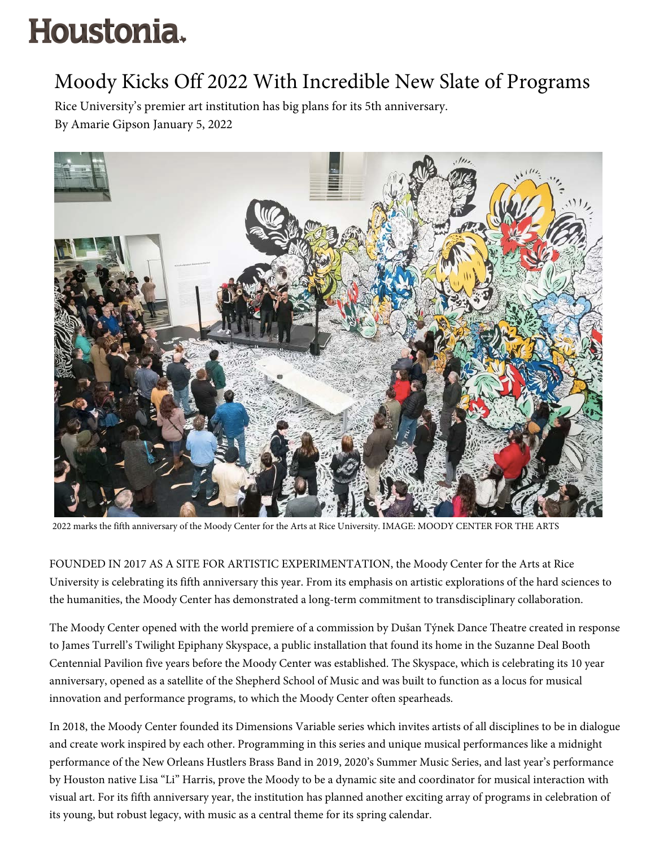## Houstonia.

## Moody Kicks Off 2022 With Incredible New Slate of Programs

Rice University's premier art institution has big plans for its 5th anniversary. By Amarie Gipson January 5, 2022



2022 marks the fifth anniversary of the Moody Center for the Arts at Rice University. IMAGE: MOODY CENTER FOR THE ARTS

FOUNDED IN 2017 AS A SITE FOR ARTISTIC EXPERIMENTATION, the Moody Center for the Arts at Rice University is celebrating its fifth anniversary this year. From its emphasis on artistic explorations of the hard sciences to the humanities, the Moody Center has demonstrated a long-term commitment to transdisciplinary collaboration.

The Moody Center opened with the world premiere of a commission by Dušan Týnek Dance Theatre created in response to James Turrell's Twilight Epiphany Skyspace, a public installation that found its home in the Suzanne Deal Booth Centennial Pavilion five years before the Moody Center was established. The Skyspace, which is celebrating its 10 year anniversary, opened as a satellite of the Shepherd School of Music and was built to function as a locus for musical innovation and performance programs, to which the Moody Center often spearheads.

In 2018, the Moody Center founded its Dimensions Variable series which invites artists of all disciplines to be in dialogue and create work inspired by each other. Programming in this series and unique musical performances like a midnight performance of the New Orleans Hustlers Brass Band in 2019, 2020's Summer Music Series, and last year's performance by Houston native Lisa "Li" Harris, prove the Moody to be a dynamic site and coordinator for musical interaction with visual art. For its fifth anniversary year, the institution has planned another exciting array of programs in celebration of its young, but robust legacy, with music as a central theme for its spring calendar.